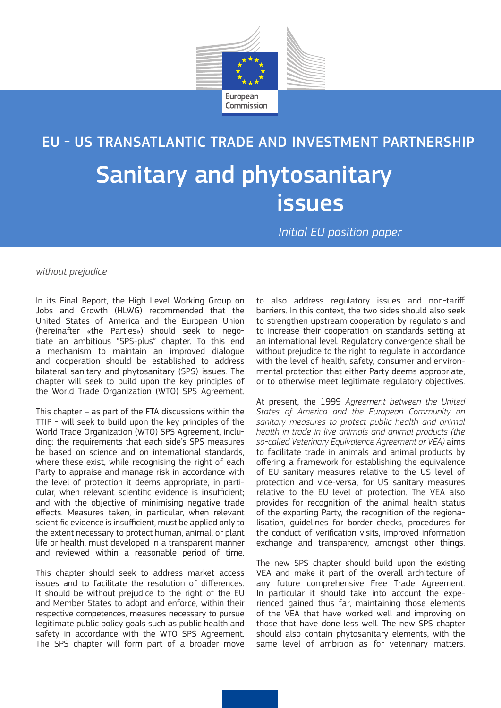

Sanitary and phytosanitary issues EU - US TRANSATLANTIC TRADE AND INVESTMENT PARTNERSHIP

*Initial EU position paper*

*without prejudice*

In its Final Report, the High Level Working Group on Jobs and Growth (HLWG) recommended that the United States of America and the European Union (hereinafter «the Parties») should seek to negotiate an ambitious "SPS-plus" chapter. To this end a mechanism to maintain an improved dialogue and cooperation should be established to address bilateral sanitary and phytosanitary (SPS) issues. The chapter will seek to build upon the key principles of the World Trade Organization (WTO) SPS Agreement.

This chapter – as part of the FTA discussions within the TTIP - will seek to build upon the key principles of the World Trade Organization (WTO) SPS Agreement, including: the requirements that each side's SPS measures be based on science and on international standards, where these exist, while recognising the right of each Party to appraise and manage risk in accordance with the level of protection it deems appropriate, in particular, when relevant scientific evidence is insufficient; and with the objective of minimising negative trade effects. Measures taken, in particular, when relevant scientific evidence is insufficient, must be applied only to the extent necessary to protect human, animal, or plant life or health, must developed in a transparent manner and reviewed within a reasonable period of time.

This chapter should seek to address market access issues and to facilitate the resolution of differences. It should be without prejudice to the right of the EU and Member States to adopt and enforce, within their respective competences, measures necessary to pursue legitimate public policy goals such as public health and safety in accordance with the WTO SPS Agreement. The SPS chapter will form part of a broader move

to also address regulatory issues and non-tariff barriers. In this context, the two sides should also seek to strengthen upstream cooperation by regulators and to increase their cooperation on standards setting at an international level. Regulatory convergence shall be without prejudice to the right to regulate in accordance with the level of health, safety, consumer and environmental protection that either Party deems appropriate, or to otherwise meet legitimate regulatory objectives.

At present, the 1999 *Agreement between the United States of America and the European Community on sanitary measures to protect public health and animal health in trade in live animals and animal products (the so-called Veterinary Equivalence Agreement or VEA)* aims to facilitate trade in animals and animal products by offering a framework for establishing the equivalence of EU sanitary measures relative to the US level of protection and vice-versa, for US sanitary measures relative to the EU level of protection. The VEA also provides for recognition of the animal health status of the exporting Party, the recognition of the regionalisation, guidelines for border checks, procedures for the conduct of verification visits, improved information exchange and transparency, amongst other things.

The new SPS chapter should build upon the existing VEA and make it part of the overall architecture of any future comprehensive Free Trade Agreement. In particular it should take into account the experienced gained thus far, maintaining those elements of the VEA that have worked well and improving on those that have done less well. The new SPS chapter should also contain phytosanitary elements, with the same level of ambition as for veterinary matters.